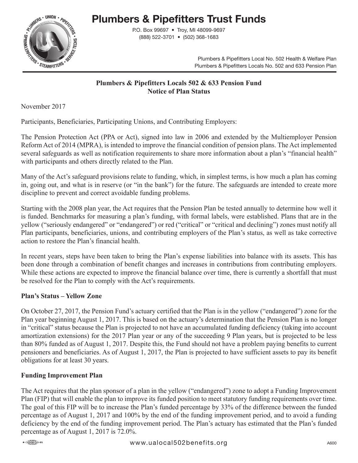

# **Plumbers & Pipefitters Trust Funds**

P.O. Box 99697 • Troy, MI 48099-9697 (888) 522-3701 • (502) 368-1683

> Plumbers & Pipefitters Local No. 502 Health & Welfare Plan Plumbers & Pipefitters Locals No. 502 and 633 Pension Plan

#### **Plumbers & Pipefitters Locals 502 & 633 Pension Fund Notice of Plan Status**

November 2017

Participants, Beneficiaries, Participating Unions, and Contributing Employers:

The Pension Protection Act (PPA or Act), signed into law in 2006 and extended by the Multiemployer Pension Reform Act of 2014 (MPRA), is intended to improve the financial condition of pension plans. The Act implemented several safeguards as well as notification requirements to share more information about a plan's "financial health" with participants and others directly related to the Plan.

Many of the Act's safeguard provisions relate to funding, which, in simplest terms, is how much a plan has coming in, going out, and what is in reserve (or "in the bank") for the future. The safeguards are intended to create more discipline to prevent and correct avoidable funding problems.

Starting with the 2008 plan year, the Act requires that the Pension Plan be tested annually to determine how well it is funded. Benchmarks for measuring a plan's funding, with formal labels, were established. Plans that are in the yellow ("seriously endangered" or "endangered") or red ("critical" or "critical and declining") zones must notify all Plan participants, beneficiaries, unions, and contributing employers of the Plan's status, as well as take corrective action to restore the Plan's financial health.

In recent years, steps have been taken to bring the Plan's expense liabilities into balance with its assets. This has been done through a combination of benefit changes and increases in contributions from contributing employers. While these actions are expected to improve the financial balance over time, there is currently a shortfall that must be resolved for the Plan to comply with the Act's requirements.

## **Plan's Status – Yellow Zone**

On October 27, 2017, the Pension Fund's actuary certified that the Plan is in the yellow ("endangered") zone for the Plan year beginning August 1, 2017. This is based on the actuary's determination that the Pension Plan is no longer in "critical" status because the Plan is projected to not have an accumulated funding deficiency (taking into account amortization extensions) for the 2017 Plan year or any of the succeeding 9 Plan years, but is projected to be less than 80% funded as of August 1, 2017. Despite this, the Fund should not have a problem paying benefits to current pensioners and beneficiaries. As of August 1, 2017, the Plan is projected to have sufficient assets to pay its benefit obligations for at least 30 years.

## **Funding Improvement Plan**

The Act requires that the plan sponsor of a plan in the yellow ("endangered") zone to adopt a Funding Improvement Plan (FIP) that will enable the plan to improve its funded position to meet statutory funding requirements over time. The goal of this FIP will be to increase the Plan's funded percentage by 33% of the difference between the funded percentage as of August 1, 2017 and 100% by the end of the funding improvement period, and to avoid a funding deficiency by the end of the funding improvement period. The Plan's actuary has estimated that the Plan's funded percentage as of August 1, 2017 is 72.0%.